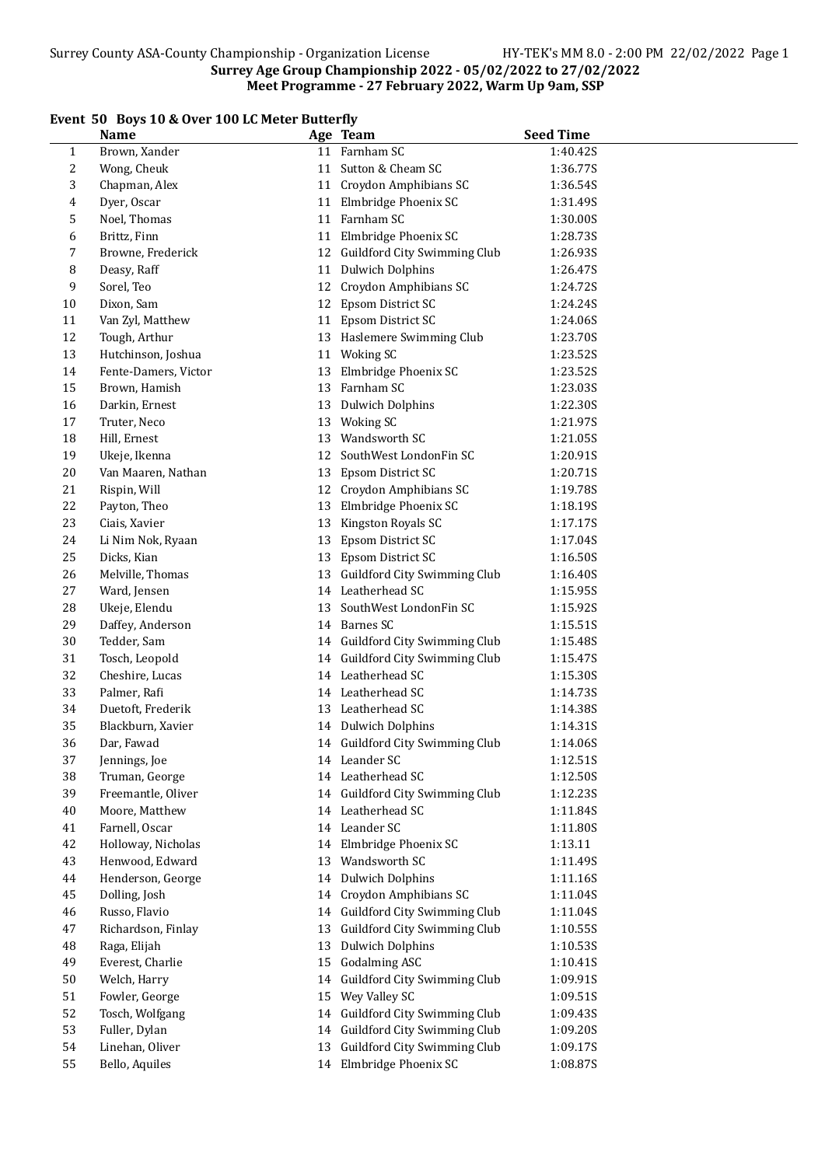# Event 50 Boys 10 & Over 100 LC Meter Butterfly

|              | boys to a over too no meter buttering<br><b>Name</b> |    | Age Team                        | <b>Seed Time</b> |
|--------------|------------------------------------------------------|----|---------------------------------|------------------|
| $\mathbf{1}$ | Brown, Xander                                        |    | 11 Farnham SC                   | 1:40.42S         |
| 2            | Wong, Cheuk                                          |    | 11 Sutton & Cheam SC            | 1:36.77S         |
| 3            | Chapman, Alex                                        |    | 11 Croydon Amphibians SC        | 1:36.54S         |
| 4            | Dyer, Oscar                                          | 11 | Elmbridge Phoenix SC            | 1:31.49S         |
| 5            | Noel, Thomas                                         | 11 | Farnham SC                      | 1:30.00S         |
| 6            | Brittz, Finn                                         | 11 | Elmbridge Phoenix SC            | 1:28.73S         |
| 7            | Browne, Frederick                                    | 12 | Guildford City Swimming Club    | 1:26.93S         |
| 8            | Deasy, Raff                                          | 11 | <b>Dulwich Dolphins</b>         | 1:26.47S         |
| 9            | Sorel, Teo                                           | 12 | Croydon Amphibians SC           | 1:24.72S         |
| 10           | Dixon, Sam                                           | 12 | Epsom District SC               | 1:24.24S         |
| 11           | Van Zyl, Matthew                                     |    | 11 Epsom District SC            | 1:24.06S         |
| 12           | Tough, Arthur                                        |    | 13 Haslemere Swimming Club      | 1:23.70S         |
| 13           | Hutchinson, Joshua                                   |    | 11 Woking SC                    | 1:23.52S         |
| 14           | Fente-Damers, Victor                                 | 13 | Elmbridge Phoenix SC            | 1:23.52S         |
| 15           | Brown, Hamish                                        | 13 | Farnham SC                      | 1:23.03S         |
| 16           | Darkin, Ernest                                       | 13 | <b>Dulwich Dolphins</b>         | 1:22.30S         |
| $17\,$       | Truter, Neco                                         | 13 | <b>Woking SC</b>                | 1:21.97S         |
| 18           | Hill, Ernest                                         | 13 | Wandsworth SC                   | 1:21.05S         |
| 19           | Ukeje, Ikenna                                        | 12 | SouthWest LondonFin SC          | 1:20.91S         |
| $20\,$       | Van Maaren, Nathan                                   | 13 | Epsom District SC               | 1:20.71S         |
| 21           | Rispin, Will                                         |    | 12 Croydon Amphibians SC        | 1:19.78S         |
| 22           | Payton, Theo                                         | 13 | Elmbridge Phoenix SC            | 1:18.19S         |
| 23           | Ciais, Xavier                                        | 13 | Kingston Royals SC              | 1:17.17S         |
| 24           | Li Nim Nok, Ryaan                                    | 13 | Epsom District SC               | 1:17.04S         |
| 25           | Dicks, Kian                                          | 13 | Epsom District SC               | 1:16.50S         |
| 26           | Melville, Thomas                                     |    | 13 Guildford City Swimming Club | 1:16.40S         |
| 27           | Ward, Jensen                                         |    | 14 Leatherhead SC               | 1:15.95S         |
| 28           | Ukeje, Elendu                                        | 13 | SouthWest LondonFin SC          | 1:15.92S         |
| 29           | Daffey, Anderson                                     |    | 14 Barnes SC                    | 1:15.51S         |
| 30           | Tedder, Sam                                          |    | 14 Guildford City Swimming Club | 1:15.48S         |
| 31           | Tosch, Leopold                                       |    | 14 Guildford City Swimming Club | 1:15.47S         |
| 32           | Cheshire, Lucas                                      |    | 14 Leatherhead SC               | 1:15.30S         |
| 33           | Palmer, Rafi                                         |    | 14 Leatherhead SC               | 1:14.73S         |
| 34           | Duetoft, Frederik                                    |    | 13 Leatherhead SC               | 1:14.38S         |
| 35           | Blackburn, Xavier                                    |    | 14 Dulwich Dolphins             | 1:14.31S         |
| 36           | Dar, Fawad                                           |    | 14 Guildford City Swimming Club | 1:14.06S         |
| 37           | Jennings, Joe                                        |    | 14 Leander SC                   | 1:12.51S         |
| 38           | Truman, George                                       |    | 14 Leatherhead SC               | 1:12.50S         |
| 39           | Freemantle, Oliver                                   |    | 14 Guildford City Swimming Club | 1:12.23S         |
| $40\,$       | Moore, Matthew                                       |    | 14 Leatherhead SC               | 1:11.84S         |
| 41           | Farnell, Oscar                                       |    | 14 Leander SC                   | 1:11.80S         |
| 42           | Holloway, Nicholas                                   |    | 14 Elmbridge Phoenix SC         | 1:13.11          |
| 43           | Henwood, Edward                                      | 13 | Wandsworth SC                   | 1:11.49S         |
| $\bf 44$     | Henderson, George                                    |    | 14 Dulwich Dolphins             | 1:11.16S         |
| 45           | Dolling, Josh                                        |    | 14 Croydon Amphibians SC        | 1:11.04S         |
| 46           | Russo, Flavio                                        |    | 14 Guildford City Swimming Club | 1:11.04S         |
| 47           | Richardson, Finlay                                   | 13 | Guildford City Swimming Club    | 1:10.55S         |
| 48           | Raga, Elijah                                         | 13 | <b>Dulwich Dolphins</b>         | 1:10.53S         |
| 49           | Everest, Charlie                                     | 15 | <b>Godalming ASC</b>            | 1:10.41S         |
| 50           | Welch, Harry                                         | 14 | Guildford City Swimming Club    | 1:09.91S         |
| 51           | Fowler, George                                       | 15 | Wey Valley SC                   | 1:09.51S         |
| 52           | Tosch, Wolfgang                                      |    | 14 Guildford City Swimming Club | 1:09.43S         |
| 53           | Fuller, Dylan                                        |    | 14 Guildford City Swimming Club | 1:09.20S         |
| 54           | Linehan, Oliver                                      | 13 | Guildford City Swimming Club    | 1:09.17S         |
| 55           | Bello, Aquiles                                       |    | 14 Elmbridge Phoenix SC         | 1:08.87S         |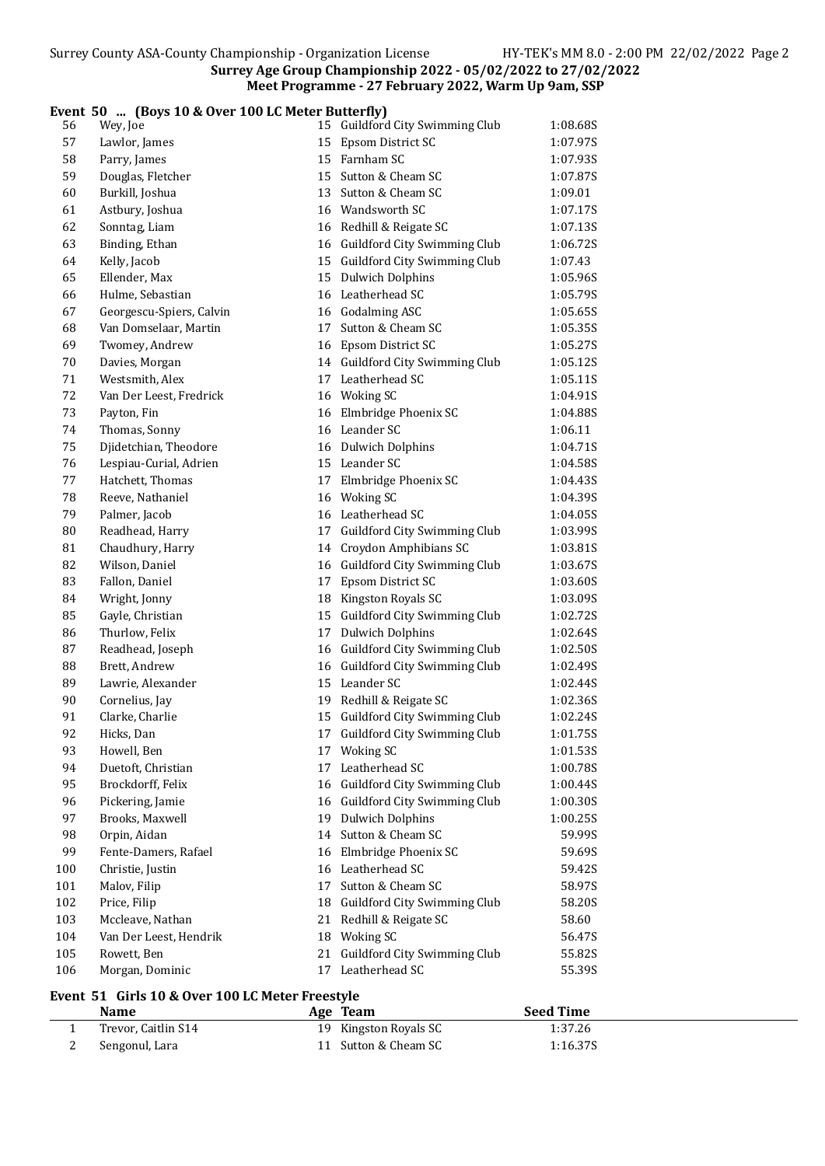#### Event 50 ... (Boys 10 & Over 100 LC Meter Butterfly)

| 56  | Wey, Joe                 |    | 15 Guildford City Swimming Club                      | 1:08.68S |
|-----|--------------------------|----|------------------------------------------------------|----------|
| 57  | Lawlor, James            | 15 | Epsom District SC                                    | 1:07.97S |
| 58  | Parry, James             |    | 15 Farnham SC                                        | 1:07.93S |
| 59  | Douglas, Fletcher        | 15 | Sutton & Cheam SC                                    | 1:07.87S |
| 60  | Burkill, Joshua          | 13 | Sutton & Cheam SC                                    | 1:09.01  |
| 61  | Astbury, Joshua          |    | 16 Wandsworth SC                                     | 1:07.17S |
| 62  | Sonntag, Liam            |    | 16 Redhill & Reigate SC                              | 1:07.13S |
| 63  | Binding, Ethan           |    | 16 Guildford City Swimming Club                      | 1:06.72S |
| 64  | Kelly, Jacob             |    | 15 Guildford City Swimming Club                      | 1:07.43  |
| 65  | Ellender, Max            |    | 15 Dulwich Dolphins                                  | 1:05.96S |
| 66  | Hulme, Sebastian         |    | 16 Leatherhead SC                                    | 1:05.79S |
| 67  | Georgescu-Spiers, Calvin |    | 16 Godalming ASC                                     | 1:05.65S |
| 68  | Van Domselaar, Martin    |    | 17 Sutton & Cheam SC                                 | 1:05.35S |
| 69  | Twomey, Andrew           |    | 16 Epsom District SC                                 | 1:05.27S |
| 70  | Davies, Morgan           |    | 14 Guildford City Swimming Club                      | 1:05.12S |
| 71  | Westsmith, Alex          |    | 17 Leatherhead SC                                    | 1:05.11S |
| 72  | Van Der Leest, Fredrick  |    | 16 Woking SC                                         | 1:04.91S |
| 73  | Payton, Fin              |    | 16 Elmbridge Phoenix SC                              | 1:04.88S |
| 74  | Thomas, Sonny            |    | 16 Leander SC                                        | 1:06.11  |
| 75  | Djidetchian, Theodore    |    | 16 Dulwich Dolphins                                  | 1:04.71S |
| 76  | Lespiau-Curial, Adrien   |    | 15 Leander SC                                        | 1:04.58S |
| 77  | Hatchett, Thomas         |    | 17 Elmbridge Phoenix SC                              | 1:04.43S |
| 78  | Reeve, Nathaniel         |    | 16 Woking SC                                         | 1:04.39S |
| 79  | Palmer, Jacob            |    | 16 Leatherhead SC                                    | 1:04.05S |
| 80  | Readhead, Harry          |    | 17 Guildford City Swimming Club                      | 1:03.99S |
| 81  | Chaudhury, Harry         |    | 14 Croydon Amphibians SC                             | 1:03.81S |
| 82  | Wilson, Daniel           |    | 16 Guildford City Swimming Club                      | 1:03.67S |
| 83  | Fallon, Daniel           | 17 | Epsom District SC                                    | 1:03.60S |
| 84  | Wright, Jonny            | 18 | Kingston Royals SC                                   | 1:03.09S |
| 85  | Gayle, Christian         |    | 15 Guildford City Swimming Club                      | 1:02.72S |
| 86  | Thurlow, Felix           |    | 17 Dulwich Dolphins                                  | 1:02.64S |
| 87  | Readhead, Joseph         |    | 16 Guildford City Swimming Club                      | 1:02.50S |
| 88  | Brett, Andrew            |    | 16 Guildford City Swimming Club                      | 1:02.49S |
| 89  | Lawrie, Alexander        |    | 15 Leander SC                                        | 1:02.44S |
| 90  | Cornelius, Jay           |    | 19 Redhill & Reigate SC                              | 1:02.36S |
| 91  | Clarke, Charlie          |    | 15 Guildford City Swimming Club                      | 1:02.24S |
| 92  | Hicks. Dan               |    | 17 Guildford City Swimming Club                      | 1:01.75S |
| 93  | Howell, Ben              |    | 17 Woking SC                                         | 1:01.53S |
| 94  | Duetoft, Christian       | 17 | Leatherhead SC                                       | 1:00.78S |
| 95  | Brockdorff, Felix        | 16 | Guildford City Swimming Club                         | 1:00.44S |
| 96  | Pickering, Jamie         | 16 | Guildford City Swimming Club                         | 1:00.30S |
| 97  | Brooks, Maxwell          | 19 | <b>Dulwich Dolphins</b>                              | 1:00.25S |
| 98  | Orpin, Aidan             |    | 14 Sutton & Cheam SC                                 | 59.99S   |
| 99  | Fente-Damers, Rafael     |    | 16 Elmbridge Phoenix SC                              | 59.69S   |
| 100 | Christie, Justin         |    | 16 Leatherhead SC                                    | 59.42S   |
| 101 | Malov, Filip             | 17 | Sutton & Cheam SC                                    | 58.97S   |
| 102 | Price, Filip             |    | 18 Guildford City Swimming Club                      | 58.20S   |
| 103 | Mccleave, Nathan         |    | 21 Redhill & Reigate SC                              | 58.60    |
| 104 | Van Der Leest, Hendrik   |    | 18 Woking SC                                         | 56.47S   |
| 105 | Rowett, Ben              |    | 21 Guildford City Swimming Club<br>17 Leatherhead SC | 55.82S   |
| 106 | Morgan, Dominic          |    |                                                      | 55.39S   |

# Event 51 Girls 10 & Over 100 LC Meter Freestyle

| <b>Name</b>         | Age Team              | <b>Seed Time</b> |
|---------------------|-----------------------|------------------|
| Trevor, Caitlin S14 | 19 Kingston Royals SC | 1:37.26          |
| Sengonul, Lara      | 11 Sutton & Cheam SC  | 1:16.37S         |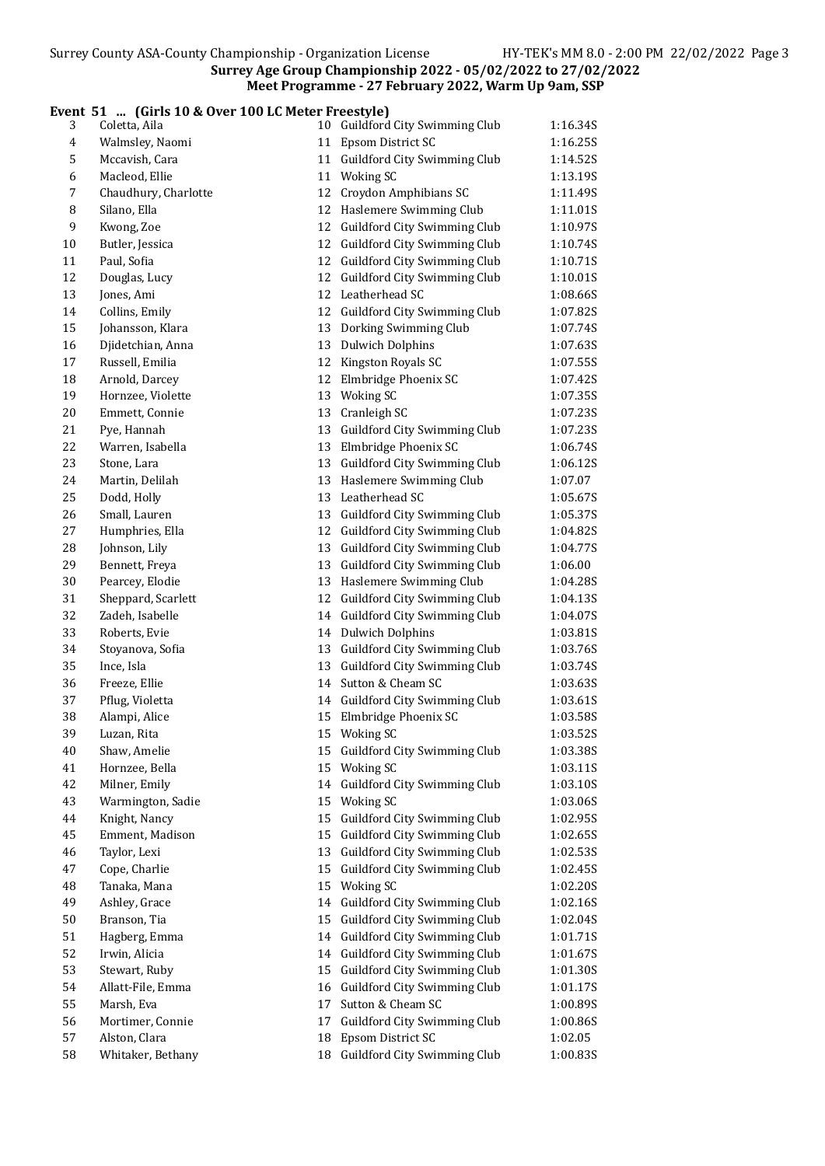#### Event 51 ... (Girls 10 & Over 100 LC Meter Freestyle)

| 3              | Coletta, Aila                   | 10 Guildford City Swimming Club                 | 1:16.34S |
|----------------|---------------------------------|-------------------------------------------------|----------|
| $\overline{4}$ | Walmsley, Naomi                 | 11 Epsom District SC                            | 1:16.25S |
| 5              | Mccavish, Cara                  | 11 Guildford City Swimming Club                 | 1:14.52S |
| 6              | Macleod, Ellie                  | 11 Woking SC                                    | 1:13.19S |
| 7              | Chaudhury, Charlotte            | 12 Croydon Amphibians SC                        | 1:11.49S |
| 8              | Silano, Ella                    | 12 Haslemere Swimming Club                      | 1:11.01S |
| 9              | Kwong, Zoe                      | 12 Guildford City Swimming Club                 | 1:10.97S |
| 10             | Butler, Jessica                 | 12 Guildford City Swimming Club                 | 1:10.74S |
| 11             | Paul, Sofia                     | 12 Guildford City Swimming Club                 | 1:10.71S |
| 12             | Douglas, Lucy                   | 12 Guildford City Swimming Club                 | 1:10.01S |
| 13             | Jones, Ami                      | 12 Leatherhead SC                               | 1:08.66S |
| 14             | Collins, Emily                  | 12 Guildford City Swimming Club                 | 1:07.82S |
| 15             | Johansson, Klara                | 13 Dorking Swimming Club                        | 1:07.74S |
| 16             | Djidetchian, Anna               | 13 Dulwich Dolphins                             | 1:07.63S |
| 17             | Russell, Emilia                 | 12 Kingston Royals SC                           | 1:07.55S |
| 18             | Arnold, Darcey                  | 12 Elmbridge Phoenix SC                         | 1:07.42S |
| 19             | Hornzee, Violette               | 13 Woking SC                                    | 1:07.35S |
| 20             | Emmett, Connie                  | 13 Cranleigh SC                                 | 1:07.23S |
| 21             | Pye, Hannah                     | 13 Guildford City Swimming Club                 | 1:07.235 |
| 22             | Warren, Isabella                | 13 Elmbridge Phoenix SC                         | 1:06.74S |
| 23             | Stone, Lara                     | 13 Guildford City Swimming Club                 | 1:06.12S |
| 24             | Martin, Delilah                 | 13 Haslemere Swimming Club                      | 1:07.07  |
| 25             | Dodd, Holly                     | 13 Leatherhead SC                               | 1:05.67S |
| 26             | Small, Lauren                   | 13 Guildford City Swimming Club                 | 1:05.37S |
| 27             | Humphries, Ella                 | 12 Guildford City Swimming Club                 | 1:04.82S |
| 28             | Johnson, Lily                   | 13 Guildford City Swimming Club                 | 1:04.77S |
| 29             | Bennett, Freya                  | 13 Guildford City Swimming Club                 | 1:06.00  |
| 30             | Pearcey, Elodie                 | 13 Haslemere Swimming Club                      | 1:04.28S |
| 31             | Sheppard, Scarlett              | 12 Guildford City Swimming Club                 | 1:04.13S |
| 32             | Zadeh, Isabelle                 | 14 Guildford City Swimming Club                 | 1:04.07S |
| 33             | Roberts, Evie                   | 14 Dulwich Dolphins                             | 1:03.81S |
| 34             | Stoyanova, Sofia                | 13 Guildford City Swimming Club                 | 1:03.76S |
| 35             | Ince, Isla                      | 13 Guildford City Swimming Club                 | 1:03.74S |
| 36             | Freeze, Ellie                   | 14 Sutton & Cheam SC                            | 1:03.63S |
| 37             | Pflug, Violetta                 | 14 Guildford City Swimming Club                 | 1:03.61S |
| 38             | Alampi, Alice                   | 15 Elmbridge Phoenix SC                         | 1:03.58S |
|                |                                 |                                                 |          |
| 39             | Luzan, Rita                     | 15 Woking SC                                    | 1:03.52S |
| 40             | Shaw, Amelie                    | 15 Guildford City Swimming Club<br>15 Woking SC | 1:03.38S |
| 41             | Hornzee, Bella<br>Milner, Emily | 14 Guildford City Swimming Club                 | 1:03.11S |
| 42             |                                 |                                                 | 1:03.10S |
| 43             | Warmington, Sadie               | 15 Woking SC                                    | 1:03.06S |
| 44             | Knight, Nancy                   | 15 Guildford City Swimming Club                 | 1:02.95S |
| 45             | Emment, Madison                 | 15 Guildford City Swimming Club                 | 1:02.65S |
| 46             | Taylor, Lexi                    | 13 Guildford City Swimming Club                 | 1:02.53S |
| 47             | Cope, Charlie                   | 15 Guildford City Swimming Club                 | 1:02.45S |
| 48             | Tanaka, Mana                    | 15 Woking SC                                    | 1:02.20S |
| 49             | Ashley, Grace                   | 14 Guildford City Swimming Club                 | 1:02.16S |
| 50             | Branson, Tia                    | 15 Guildford City Swimming Club                 | 1:02.04S |
| 51             | Hagberg, Emma                   | 14 Guildford City Swimming Club                 | 1:01.71S |
| 52             | Irwin, Alicia                   | 14 Guildford City Swimming Club                 | 1:01.67S |
| 53             | Stewart, Ruby                   | 15 Guildford City Swimming Club                 | 1:01.30S |
| 54             | Allatt-File, Emma               | 16 Guildford City Swimming Club                 | 1:01.17S |
| 55             | Marsh, Eva                      | 17 Sutton & Cheam SC                            | 1:00.89S |
| 56             | Mortimer, Connie                | 17 Guildford City Swimming Club                 | 1:00.86S |
| 57             | Alston, Clara                   | 18 Epsom District SC                            | 1:02.05  |
| 58             | Whitaker, Bethany               | 18 Guildford City Swimming Club                 | 1:00.83S |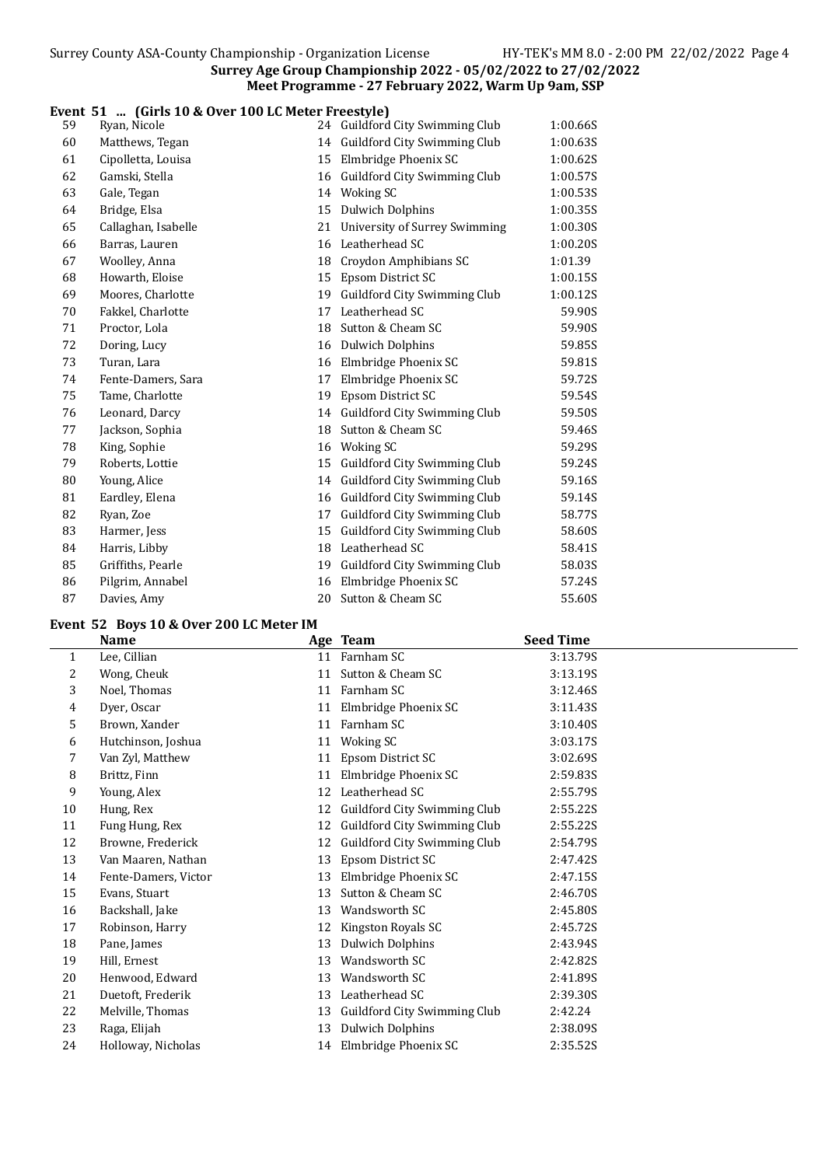#### Event 51 ... (Girls 10 & Over 100 LC Meter Freestyle)

| 59 | Ryan, Nicole        |    | 24 Guildford City Swimming Club | 1:00.66S |
|----|---------------------|----|---------------------------------|----------|
| 60 | Matthews, Tegan     |    | 14 Guildford City Swimming Club | 1:00.63S |
| 61 | Cipolletta, Louisa  | 15 | Elmbridge Phoenix SC            | 1:00.62S |
| 62 | Gamski, Stella      | 16 | Guildford City Swimming Club    | 1:00.57S |
| 63 | Gale, Tegan         |    | 14 Woking SC                    | 1:00.53S |
| 64 | Bridge, Elsa        | 15 | <b>Dulwich Dolphins</b>         | 1:00.35S |
| 65 | Callaghan, Isabelle | 21 | University of Surrey Swimming   | 1:00.30S |
| 66 | Barras, Lauren      |    | 16 Leatherhead SC               | 1:00.20S |
| 67 | Woolley, Anna       | 18 | Croydon Amphibians SC           | 1:01.39  |
| 68 | Howarth, Eloise     | 15 | Epsom District SC               | 1:00.15S |
| 69 | Moores, Charlotte   | 19 | Guildford City Swimming Club    | 1:00.12S |
| 70 | Fakkel, Charlotte   | 17 | Leatherhead SC                  | 59.90S   |
| 71 | Proctor, Lola       | 18 | Sutton & Cheam SC               | 59.90S   |
| 72 | Doring, Lucy        |    | 16 Dulwich Dolphins             | 59.85S   |
| 73 | Turan, Lara         |    | 16 Elmbridge Phoenix SC         | 59.81S   |
| 74 | Fente-Damers, Sara  | 17 | Elmbridge Phoenix SC            | 59.72S   |
| 75 | Tame, Charlotte     | 19 | Epsom District SC               | 59.54S   |
| 76 | Leonard, Darcy      |    | 14 Guildford City Swimming Club | 59.50S   |
| 77 | Jackson, Sophia     | 18 | Sutton & Cheam SC               | 59.46S   |
| 78 | King, Sophie        | 16 | <b>Woking SC</b>                | 59.29S   |
| 79 | Roberts, Lottie     | 15 | Guildford City Swimming Club    | 59.24S   |
| 80 | Young, Alice        |    | 14 Guildford City Swimming Club | 59.16S   |
| 81 | Eardley, Elena      |    | 16 Guildford City Swimming Club | 59.14S   |
| 82 | Ryan, Zoe           | 17 | Guildford City Swimming Club    | 58.77S   |
| 83 | Harmer, Jess        | 15 | Guildford City Swimming Club    | 58.60S   |
| 84 | Harris, Libby       | 18 | Leatherhead SC                  | 58.41S   |
| 85 | Griffiths, Pearle   | 19 | Guildford City Swimming Club    | 58.03S   |
| 86 | Pilgrim, Annabel    | 16 | Elmbridge Phoenix SC            | 57.24S   |
| 87 | Davies, Amy         |    | 20 Sutton & Cheam SC            | 55.60S   |

#### Event 52 Boys 10 & Over 200 LC Meter IM

|              | <b>Name</b>          |    | Age Team                        | <b>Seed Time</b> |
|--------------|----------------------|----|---------------------------------|------------------|
| $\mathbf{1}$ | Lee, Cillian         |    | 11 Farnham SC                   | 3:13.79S         |
| 2            | Wong, Cheuk          |    | 11 Sutton & Cheam SC            | 3:13.19S         |
| 3            | Noel, Thomas         | 11 | Farnham SC                      | 3:12.46S         |
| 4            | Dyer, Oscar          |    | 11 Elmbridge Phoenix SC         | 3:11.43S         |
| 5            | Brown, Xander        | 11 | Farnham SC                      | 3:10.40S         |
| 6            | Hutchinson, Joshua   |    | 11 Woking SC                    | 3:03.17S         |
| 7            | Van Zyl, Matthew     | 11 | Epsom District SC               | 3:02.69S         |
| 8            | Brittz, Finn         |    | 11 Elmbridge Phoenix SC         | 2:59.83S         |
| 9            | Young, Alex          | 12 | Leatherhead SC                  | 2:55.79S         |
| 10           | Hung, Rex            |    | 12 Guildford City Swimming Club | 2:55.22S         |
| 11           | Fung Hung, Rex       | 12 | Guildford City Swimming Club    | 2:55.22S         |
| 12           | Browne, Frederick    | 12 | Guildford City Swimming Club    | 2:54.79S         |
| 13           | Van Maaren, Nathan   | 13 | Epsom District SC               | 2:47.42S         |
| 14           | Fente-Damers, Victor | 13 | Elmbridge Phoenix SC            | 2:47.15S         |
| 15           | Evans, Stuart        | 13 | Sutton & Cheam SC               | 2:46.70S         |
| 16           | Backshall, Jake      | 13 | Wandsworth SC                   | 2:45.80S         |
| 17           | Robinson, Harry      |    | Kingston Royals SC              | 2:45.72S         |
| 18           | Pane, James          | 13 | <b>Dulwich Dolphins</b>         | 2:43.94S         |
| 19           | Hill, Ernest         | 13 | Wandsworth SC                   | 2:42.82S         |
| 20           | Henwood, Edward      | 13 | Wandsworth SC                   | 2:41.89S         |
| 21           | Duetoft, Frederik    | 13 | Leatherhead SC                  | 2:39.30S         |
| 22           | Melville, Thomas     | 13 | Guildford City Swimming Club    | 2:42.24          |
| 23           | Raga, Elijah         | 13 | <b>Dulwich Dolphins</b>         | 2:38.09S         |
| 24           | Holloway, Nicholas   |    | 14 Elmbridge Phoenix SC         | 2:35.52S         |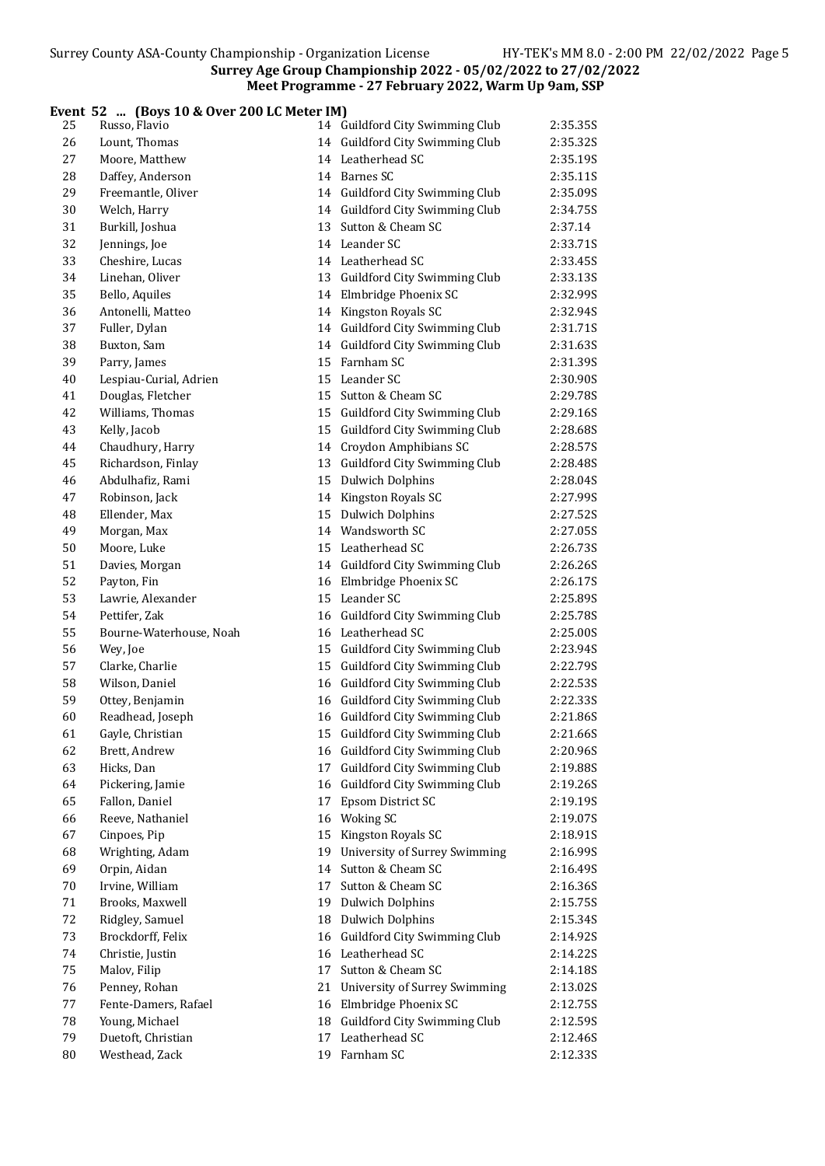#### Event 52 ... (Boys 10 & Over 200 LC Meter IM)

| 25       | Russo, Flavio           | 14 Guildford City Swimming Club  | 2:35.35S |
|----------|-------------------------|----------------------------------|----------|
| 26       | Lount, Thomas           | 14 Guildford City Swimming Club  | 2:35.32S |
| 27       | Moore, Matthew          | 14 Leatherhead SC                | 2:35.19S |
| 28       | Daffey, Anderson        | 14 Barnes SC                     | 2:35.11S |
| 29       | Freemantle, Oliver      | 14 Guildford City Swimming Club  | 2:35.09S |
| 30       | Welch, Harry            | 14 Guildford City Swimming Club  | 2:34.75S |
| 31       | Burkill, Joshua         | 13 Sutton & Cheam SC             | 2:37.14  |
| 32       | Jennings, Joe           | 14 Leander SC                    | 2:33.71S |
| 33       | Cheshire, Lucas         | 14 Leatherhead SC                | 2:33.45S |
| 34       | Linehan, Oliver         | 13 Guildford City Swimming Club  | 2:33.13S |
| 35       | Bello, Aquiles          | 14 Elmbridge Phoenix SC          | 2:32.99S |
| 36       | Antonelli, Matteo       | 14 Kingston Royals SC            | 2:32.94S |
| 37       | Fuller, Dylan           | 14 Guildford City Swimming Club  | 2:31.71S |
| 38       | Buxton, Sam             | 14 Guildford City Swimming Club  | 2:31.63S |
| 39       | Parry, James            | 15 Farnham SC                    | 2:31.39S |
| 40       | Lespiau-Curial, Adrien  | 15 Leander SC                    | 2:30.90S |
| 41       | Douglas, Fletcher       | 15 Sutton & Cheam SC             | 2:29.78S |
| 42       | Williams, Thomas        | 15 Guildford City Swimming Club  | 2:29.16S |
| 43       | Kelly, Jacob            | 15 Guildford City Swimming Club  | 2:28.68S |
| 44       | Chaudhury, Harry        | 14 Croydon Amphibians SC         | 2:28.57S |
| 45       | Richardson, Finlay      | 13 Guildford City Swimming Club  | 2:28.48S |
| 46       | Abdulhafiz, Rami        | 15 Dulwich Dolphins              | 2:28.04S |
| 47       | Robinson, Jack          | 14 Kingston Royals SC            | 2:27.99S |
| 48       | Ellender, Max           | 15 Dulwich Dolphins              | 2:27.52S |
| 49       | Morgan, Max             | 14 Wandsworth SC                 | 2:27.05S |
| 50       | Moore, Luke             | 15 Leatherhead SC                | 2:26.73S |
| 51       | Davies, Morgan          | 14 Guildford City Swimming Club  | 2:26.26S |
| 52       | Payton, Fin             | 16 Elmbridge Phoenix SC          | 2:26.17S |
| 53       | Lawrie, Alexander       | 15 Leander SC                    | 2:25.89S |
| 54       | Pettifer, Zak           | 16 Guildford City Swimming Club  | 2:25.78S |
| 55       | Bourne-Waterhouse, Noah | 16 Leatherhead SC                | 2:25.00S |
| 56       | Wey, Joe                | 15 Guildford City Swimming Club  | 2:23.94S |
| 57       | Clarke, Charlie         | 15 Guildford City Swimming Club  | 2:22.79S |
| 58       | Wilson, Daniel          | 16 Guildford City Swimming Club  | 2:22.53S |
| 59       | Ottey, Benjamin         | 16 Guildford City Swimming Club  | 2:22.33S |
| 60       | Readhead, Joseph        | 16 Guildford City Swimming Club  | 2:21.86S |
| 61       | Gayle, Christian        | 15 Guildford City Swimming Club  | 2:21.66S |
| 62       | Brett, Andrew           | 16 Guildford City Swimming Club  | 2:20.96S |
| 63       | Hicks, Dan              | 17 Guildford City Swimming Club  | 2:19.88S |
| 64       | Pickering, Jamie        | 16 Guildford City Swimming Club  | 2:19.26S |
| 65       | Fallon, Daniel          | 17 Epsom District SC             | 2:19.195 |
| 66       | Reeve, Nathaniel        | 16 Woking SC                     | 2:19.07S |
| 67       | Cinpoes, Pip            | 15 Kingston Royals SC            | 2:18.91S |
| 68       | Wrighting, Adam         | 19 University of Surrey Swimming | 2:16.99S |
| 69       | Orpin, Aidan            | 14 Sutton & Cheam SC             | 2:16.49S |
|          | Irvine, William         | 17 Sutton & Cheam SC             | 2:16.36S |
| 70<br>71 | Brooks, Maxwell         | 19 Dulwich Dolphins              |          |
|          | Ridgley, Samuel         | 18 Dulwich Dolphins              | 2:15.75S |
| 72<br>73 | Brockdorff, Felix       | 16 Guildford City Swimming Club  | 2:15.34S |
|          |                         |                                  | 2:14.92S |
| 74       | Christie, Justin        | 16 Leatherhead SC                | 2:14.22S |
| 75       | Malov, Filip            | 17 Sutton & Cheam SC             | 2:14.18S |
| 76       | Penney, Rohan           | 21 University of Surrey Swimming | 2:13.02S |
| 77       | Fente-Damers, Rafael    | 16 Elmbridge Phoenix SC          | 2:12.755 |
| 78       | Young, Michael          | 18 Guildford City Swimming Club  | 2:12.59S |
| 79       | Duetoft, Christian      | 17 Leatherhead SC                | 2:12.46S |
| 80       | Westhead, Zack          | 19 Farnham SC                    | 2:12.33S |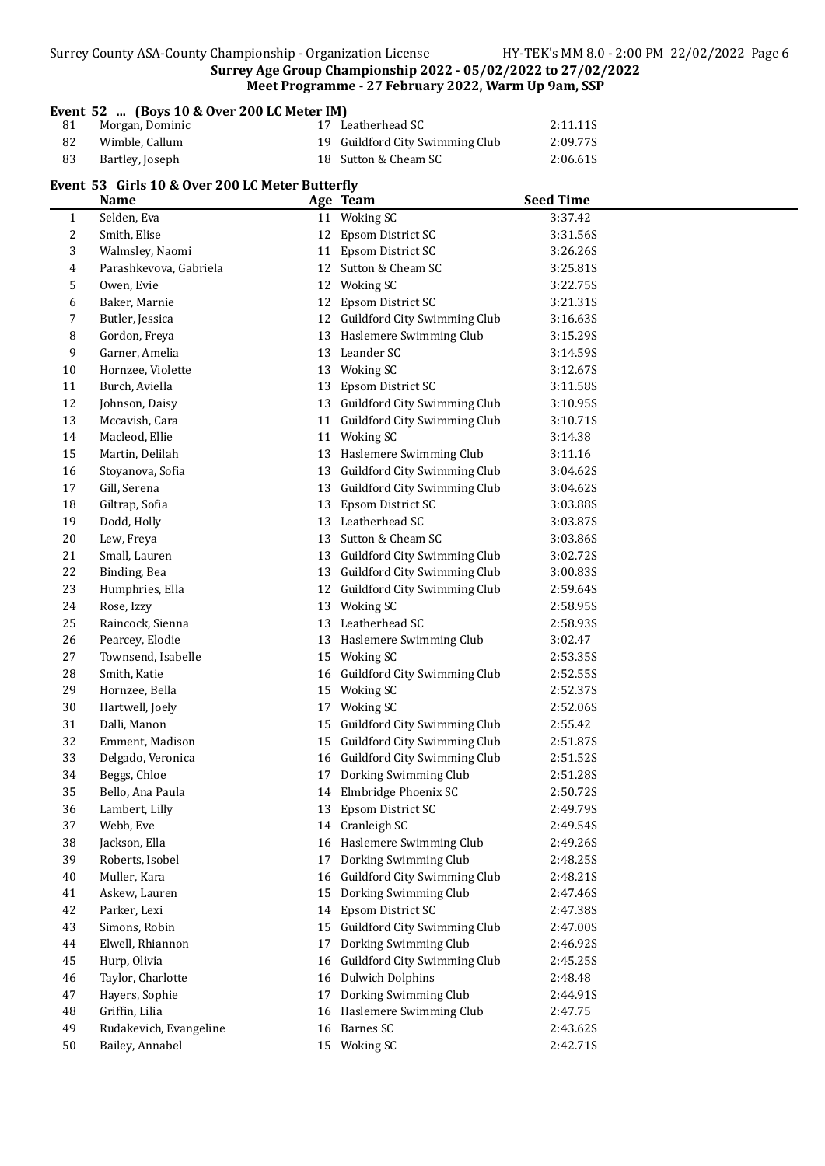|  |  | Surrey County ASA-County Championship - Organization License |
|--|--|--------------------------------------------------------------|
|  |  |                                                              |

|                                                                                               | Event 52 $\left(\frac{3}{2} - 10 \& 0.0001 \& 0.0001 \& 0.00001 \right)$ |  |                                 |          |  |
|-----------------------------------------------------------------------------------------------|--------------------------------------------------------------------------|--|---------------------------------|----------|--|
| 81                                                                                            | Morgan, Dominic                                                          |  | 17 Leatherhead SC               | 2:11.11S |  |
| 82                                                                                            | Wimble, Callum                                                           |  | 19 Guildford City Swimming Club | 2:09.77S |  |
| 83                                                                                            | Bartley, Joseph                                                          |  | 18 Sutton & Cheam SC            | 2:06.61S |  |
| Event 53 Girls 10 & Over 200 LC Meter Butterfly<br>Seed Time<br>Ago To <sub>3</sub> m<br>Name |                                                                          |  |                                 |          |  |

|              | <b>Name</b>            |    | Age Team                        | <b>Seed Time</b> |
|--------------|------------------------|----|---------------------------------|------------------|
| $\mathbf{1}$ | Selden, Eva            |    | $\overline{11}$ Woking SC       | 3:37.42          |
| 2            | Smith, Elise           |    | 12 Epsom District SC            | 3:31.56S         |
| 3            | Walmsley, Naomi        |    | 11 Epsom District SC            | 3:26.26S         |
| 4            | Parashkevova, Gabriela |    | 12 Sutton & Cheam SC            | 3:25.81S         |
| 5            | Owen, Evie             |    | 12 Woking SC                    | 3:22.75S         |
| 6            | Baker, Marnie          |    | 12 Epsom District SC            | 3:21.31S         |
| 7            | Butler, Jessica        |    | 12 Guildford City Swimming Club | 3:16.63S         |
| 8            | Gordon, Freya          |    | 13 Haslemere Swimming Club      | 3:15.29S         |
| 9            | Garner, Amelia         |    | 13 Leander SC                   | 3:14.59S         |
| 10           | Hornzee, Violette      |    | 13 Woking SC                    | 3:12.67S         |
| 11           | Burch, Aviella         |    | 13 Epsom District SC            | 3:11.58S         |
| 12           | Johnson, Daisy         |    | 13 Guildford City Swimming Club | 3:10.95S         |
| 13           | Mccavish, Cara         |    | 11 Guildford City Swimming Club | 3:10.71S         |
| 14           | Macleod, Ellie         |    | 11 Woking SC                    | 3:14.38          |
| 15           | Martin, Delilah        |    | 13 Haslemere Swimming Club      | 3:11.16          |
| 16           | Stoyanova, Sofia       |    | 13 Guildford City Swimming Club | 3:04.62S         |
| 17           | Gill, Serena           |    | 13 Guildford City Swimming Club | 3:04.62S         |
| 18           | Giltrap, Sofia         |    | 13 Epsom District SC            | 3:03.88S         |
| 19           | Dodd, Holly            |    | 13 Leatherhead SC               | 3:03.87S         |
| $20\,$       | Lew, Freya             |    | 13 Sutton & Cheam SC            | 3:03.86S         |
| 21           | Small, Lauren          |    | 13 Guildford City Swimming Club | 3:02.72S         |
| 22           | Binding, Bea           |    | 13 Guildford City Swimming Club | 3:00.83S         |
| 23           | Humphries, Ella        |    | 12 Guildford City Swimming Club | 2:59.64S         |
| 24           | Rose, Izzy             |    | 13 Woking SC                    | 2:58.95S         |
| 25           | Raincock, Sienna       |    | 13 Leatherhead SC               | 2:58.93S         |
| 26           | Pearcey, Elodie        |    | 13 Haslemere Swimming Club      | 3:02.47          |
| 27           | Townsend, Isabelle     |    | 15 Woking SC                    | 2:53.35S         |
| 28           | Smith, Katie           |    | 16 Guildford City Swimming Club | 2:52.55S         |
| 29           | Hornzee, Bella         |    | 15 Woking SC                    | 2:52.37S         |
| 30           | Hartwell, Joely        | 17 | Woking SC                       | 2:52.06S         |
| 31           | Dalli, Manon           | 15 | Guildford City Swimming Club    | 2:55.42          |
| 32           | Emment, Madison        | 15 | Guildford City Swimming Club    | 2:51.87S         |
| 33           | Delgado, Veronica      |    | 16 Guildford City Swimming Club | 2:51.52S         |
| 34           | Beggs, Chloe           | 17 | Dorking Swimming Club           | 2:51.28S         |
| 35           | Bello, Ana Paula       |    | 14 Elmbridge Phoenix SC         | 2:50.72S         |
| 36           | Lambert. Lilly         |    | 13 Epsom District SC            | 2:49.79S         |
| 37           | Webb, Eve              |    | 14 Cranleigh SC                 | 2:49.54S         |
| 38           | Jackson, Ella          |    | 16 Haslemere Swimming Club      | 2:49.26S         |
| 39           | Roberts, Isobel        |    | 17 Dorking Swimming Club        | 2:48.25S         |
| 40           | Muller, Kara           |    | 16 Guildford City Swimming Club | 2:48.21S         |
| 41           | Askew, Lauren          |    | 15 Dorking Swimming Club        | 2:47.46S         |
| 42           | Parker, Lexi           |    | 14 Epsom District SC            | 2:47.38S         |
| 43           | Simons, Robin          |    | 15 Guildford City Swimming Club | 2:47.00S         |
| 44           | Elwell, Rhiannon       |    | 17 Dorking Swimming Club        | 2:46.92S         |
| 45           | Hurp, Olivia           |    | 16 Guildford City Swimming Club | 2:45.25S         |
| 46           | Taylor, Charlotte      |    | 16 Dulwich Dolphins             | 2:48.48          |
| 47           | Hayers, Sophie         |    | 17 Dorking Swimming Club        | 2:44.91S         |
| 48           | Griffin, Lilia         |    | 16 Haslemere Swimming Club      | 2:47.75          |
| 49           | Rudakevich, Evangeline |    | 16 Barnes SC                    | 2:43.62S         |
| 50           | Bailey, Annabel        |    | 15 Woking SC                    | 2:42.71S         |